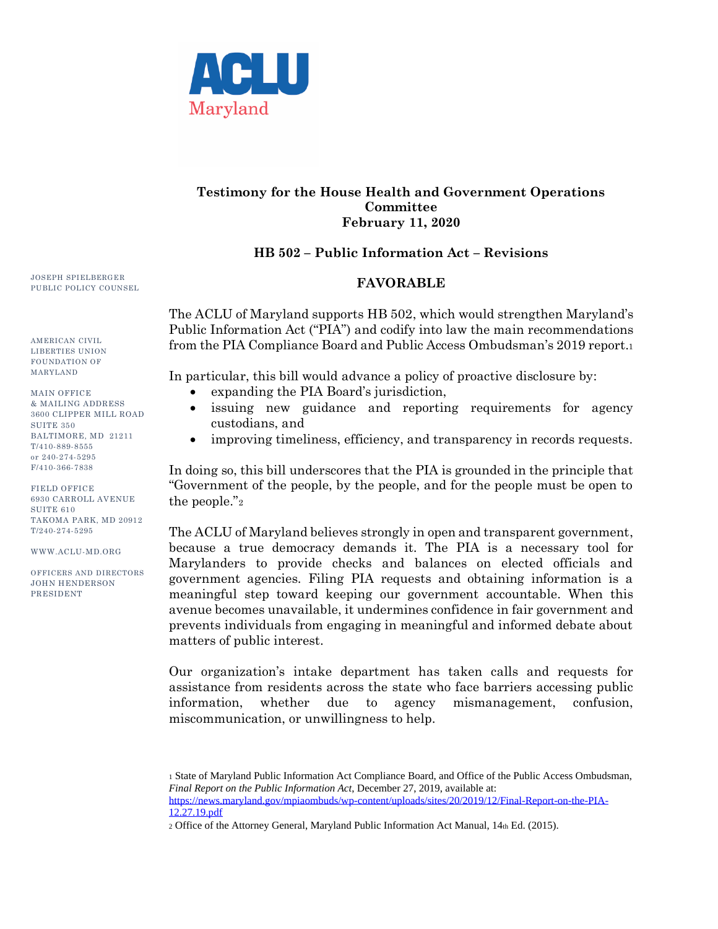

## **Testimony for the House Health and Government Operations Committee February 11, 2020**

## **HB 502 – Public Information Act – Revisions**

## **FAVORABLE**

The ACLU of Maryland supports HB 502, which would strengthen Maryland's Public Information Act ("PIA") and codify into law the main recommendations from the PIA Compliance Board and Public Access Ombudsman's 2019 report.<sup>1</sup>

In particular, this bill would advance a policy of proactive disclosure by:

- expanding the PIA Board's jurisdiction,
- issuing new guidance and reporting requirements for agency custodians, and
- improving timeliness, efficiency, and transparency in records requests.

In doing so, this bill underscores that the PIA is grounded in the principle that "Government of the people, by the people, and for the people must be open to the people."<sup>2</sup>

The ACLU of Maryland believes strongly in open and transparent government, because a true democracy demands it. The PIA is a necessary tool for Marylanders to provide checks and balances on elected officials and government agencies. Filing PIA requests and obtaining information is a meaningful step toward keeping our government accountable. When this avenue becomes unavailable, it undermines confidence in fair government and prevents individuals from engaging in meaningful and informed debate about matters of public interest.

Our organization's intake department has taken calls and requests for assistance from residents across the state who face barriers accessing public information, whether due to agency mismanagement, confusion, miscommunication, or unwillingness to help.

<sup>1</sup> State of Maryland Public Information Act Compliance Board, and Office of the Public Access Ombudsman, *Final Report on the Public Information Act*, December 27, 2019, available at: [https://news.maryland.gov/mpiaombuds/wp-content/uploads/sites/20/2019/12/Final-Report-on-the-PIA-](https://news.maryland.gov/mpiaombuds/wp-content/uploads/sites/20/2019/12/Final-Report-on-the-PIA-12.27.19.pdf)[12.27.19.pdf](https://news.maryland.gov/mpiaombuds/wp-content/uploads/sites/20/2019/12/Final-Report-on-the-PIA-12.27.19.pdf)

<sup>2</sup> Office of the Attorney General, Maryland Public Information Act Manual, 14th Ed. (2015).

JOSEPH SPIELBERGER PUBLIC POLICY COUNSEL

AMERICAN CIVIL LIBERTIES UNION FOUNDATION OF MARYLAND

MAIN OFFICE & MAILING ADDRESS 3600 CLIPPER MILL ROAD SUITE 350 BALTIMORE, MD 21211 T/410-889-8555 or 240-274-5295 F/410-366-7838

FIELD OFFICE 6930 CARROLL AVENUE SUITE<sub>610</sub> TAKOMA PARK, MD 20912 T/240-274-5295

WWW.ACLU-MD.ORG

OFFICERS AND DIRECTORS JOHN HENDERSON PRESIDENT